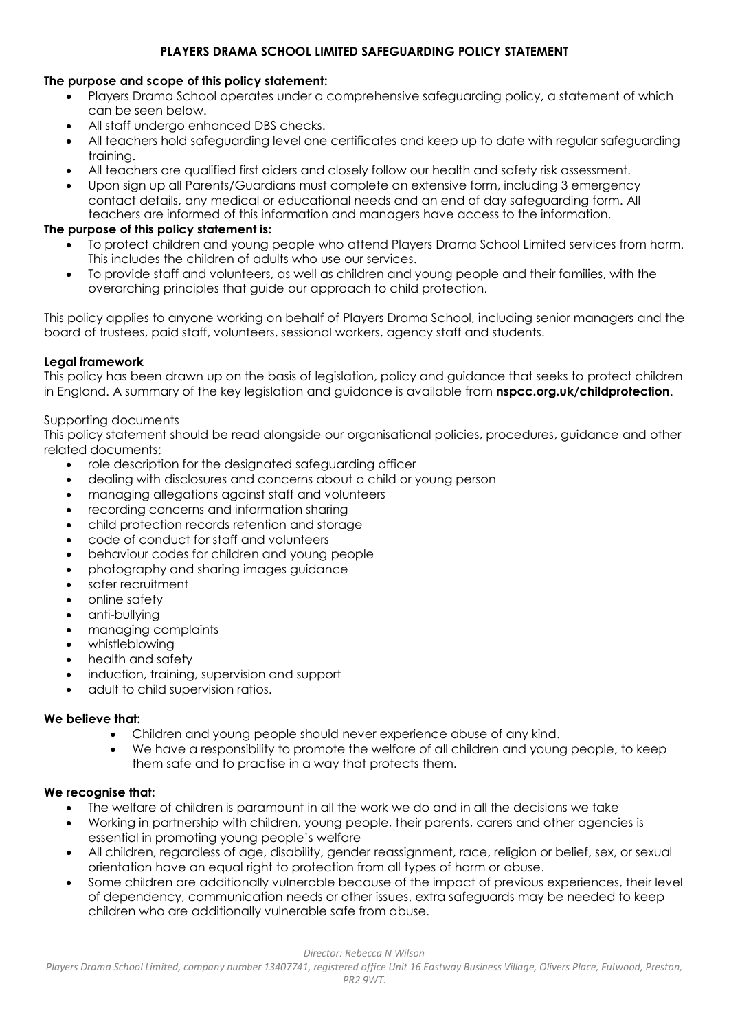# **PLAYERS DRAMA SCHOOL LIMITED SAFEGUARDING POLICY STATEMENT**

## **The purpose and scope of this policy statement:**

- Players Drama School operates under a comprehensive safeguarding policy, a statement of which can be seen below.
- All staff undergo enhanced DBS checks.
- All teachers hold safeguarding level one certificates and keep up to date with regular safeguarding training.
- All teachers are qualified first aiders and closely follow our health and safety risk assessment.
- Upon sign up all Parents/Guardians must complete an extensive form, including 3 emergency contact details, any medical or educational needs and an end of day safeguarding form. All teachers are informed of this information and managers have access to the information.

# **The purpose of this policy statement is:**

- To protect children and young people who attend Players Drama School Limited services from harm. This includes the children of adults who use our services.
- To provide staff and volunteers, as well as children and young people and their families, with the overarching principles that guide our approach to child protection.

This policy applies to anyone working on behalf of Players Drama School, including senior managers and the board of trustees, paid staff, volunteers, sessional workers, agency staff and students.

# **Legal framework**

This policy has been drawn up on the basis of legislation, policy and guidance that seeks to protect children in England. A summary of the key legislation and guidance is available from **nspcc.org.uk/childprotection**.

## Supporting documents

This policy statement should be read alongside our organisational policies, procedures, guidance and other related documents:

- role description for the designated safeguarding officer
- dealing with disclosures and concerns about a child or young person
- managing allegations against staff and volunteers
- recording concerns and information sharing
- child protection records retention and storage
- code of conduct for staff and volunteers
- behaviour codes for children and young people
- photography and sharing images guidance
- safer recruitment
- online safety
- anti-bullying
- managing complaints
- whistleblowing
- health and safety
- induction, training, supervision and support
- adult to child supervision ratios.

#### **We believe that:**

- Children and young people should never experience abuse of any kind.
- We have a responsibility to promote the welfare of all children and young people, to keep them safe and to practise in a way that protects them.

#### **We recognise that:**

- The welfare of children is paramount in all the work we do and in all the decisions we take
- Working in partnership with children, young people, their parents, carers and other agencies is essential in promoting young people's welfare
- All children, regardless of age, disability, gender reassignment, race, religion or belief, sex, or sexual orientation have an equal right to protection from all types of harm or abuse.
- Some children are additionally vulnerable because of the impact of previous experiences, their level of dependency, communication needs or other issues, extra safeguards may be needed to keep children who are additionally vulnerable safe from abuse.

#### *Director: Rebecca N Wilson*